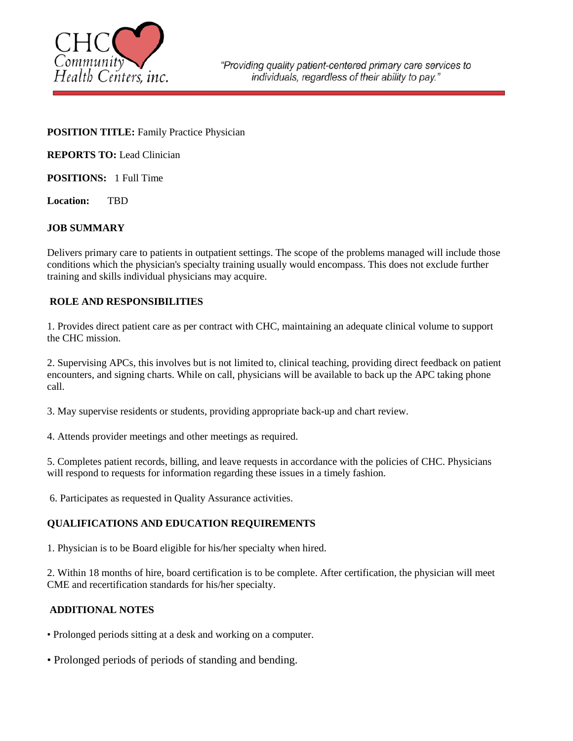

### **POSITION TITLE:** Family Practice Physician

**REPORTS TO: Lead Clinician** 

**POSITIONS:** 1 Full Time

**Location:** TBD

## **JOB SUMMARY**

Delivers primary care to patients in outpatient settings. The scope of the problems managed will include those conditions which the physician's specialty training usually would encompass. This does not exclude further training and skills individual physicians may acquire.

# **ROLE AND RESPONSIBILITIES**

1. Provides direct patient care as per contract with CHC, maintaining an adequate clinical volume to support the CHC mission.

2. Supervising APCs, this involves but is not limited to, clinical teaching, providing direct feedback on patient encounters, and signing charts. While on call, physicians will be available to back up the APC taking phone call.

3. May supervise residents or students, providing appropriate back-up and chart review.

4. Attends provider meetings and other meetings as required.

5. Completes patient records, billing, and leave requests in accordance with the policies of CHC. Physicians will respond to requests for information regarding these issues in a timely fashion.

6. Participates as requested in Quality Assurance activities.

### **QUALIFICATIONS AND EDUCATION REQUIREMENTS**

1. Physician is to be Board eligible for his/her specialty when hired.

2. Within 18 months of hire, board certification is to be complete. After certification, the physician will meet CME and recertification standards for his/her specialty.

# **ADDITIONAL NOTES**

- Prolonged periods sitting at a desk and working on a computer.
- Prolonged periods of periods of standing and bending.